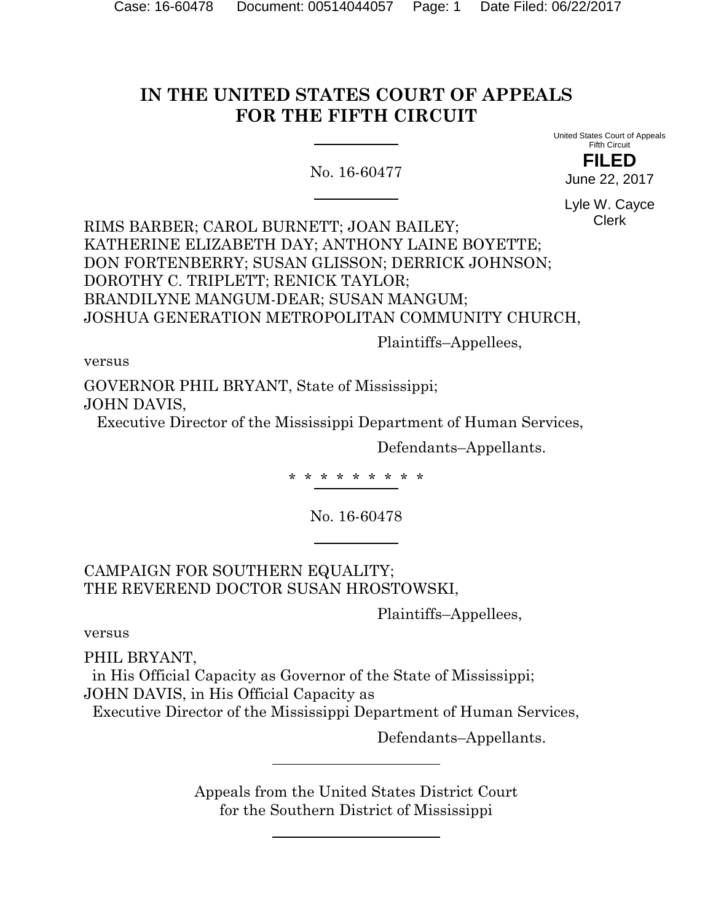# **IN THE UNITED STATES COURT OF APPEALS FOR THE FIFTH CIRCUIT**

No. 16-60477

United States Court of Appeals Fifth Circuit **FILED**

June 22, 2017

Lyle W. Cayce Clerk

RIMS BARBER; CAROL BURNETT; JOAN BAILEY; KATHERINE ELIZABETH DAY; ANTHONY LAINE BOYETTE; DON FORTENBERRY; SUSAN GLISSON; DERRICK JOHNSON; DOROTHY C. TRIPLETT; RENICK TAYLOR; BRANDILYNE MANGUM-DEAR; SUSAN MANGUM; JOSHUA GENERATION METROPOLITAN COMMUNITY CHURCH,

Plaintiffs–Appellees,

versus

GOVERNOR PHIL BRYANT, State of Mississippi; JOHN DAVIS,

Executive Director of the Mississippi Department of Human Services,

Defendants–Appellants.

\* \* \* \* \* \* \* \* \*

No. 16-60478

CAMPAIGN FOR SOUTHERN EQUALITY; THE REVEREND DOCTOR SUSAN HROSTOWSKI,

Plaintiffs–Appellees,

versus

PHIL BRYANT,

 in His Official Capacity as Governor of the State of Mississippi; JOHN DAVIS, in His Official Capacity as

Executive Director of the Mississippi Department of Human Services,

Defendants–Appellants.

Appeals from the United States District Court for the Southern District of Mississippi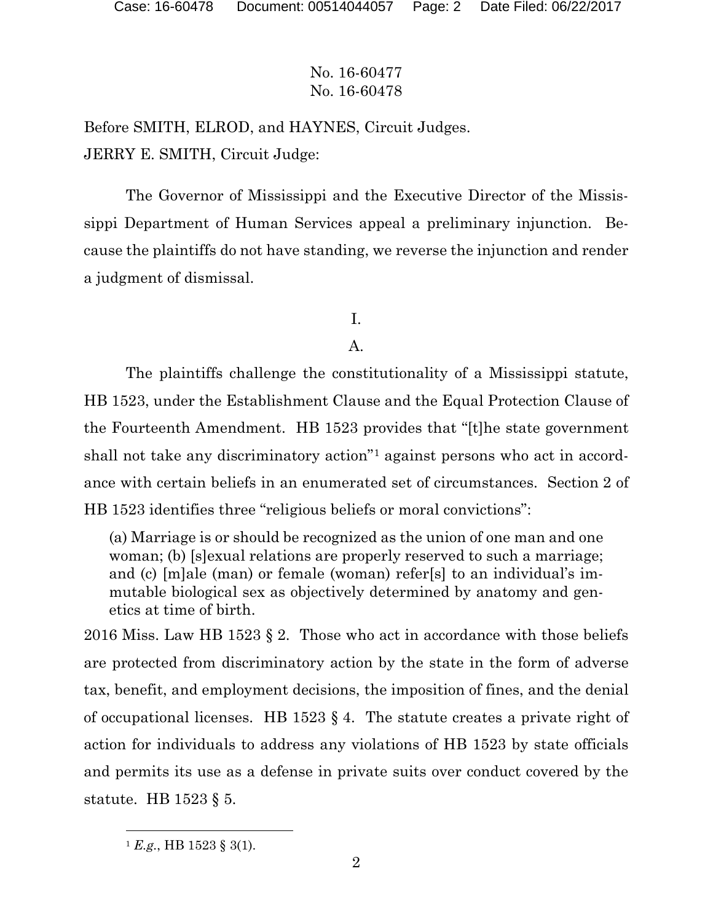Before SMITH, ELROD, and HAYNES, Circuit Judges. JERRY E. SMITH, Circuit Judge:

The Governor of Mississippi and the Executive Director of the Mississippi Department of Human Services appeal a preliminary injunction. Because the plaintiffs do not have standing, we reverse the injunction and render a judgment of dismissal.

# I.

### A.

The plaintiffs challenge the constitutionality of a Mississippi statute, HB 1523, under the Establishment Clause and the Equal Protection Clause of the Fourteenth Amendment. HB 1523 provides that "[t]he state government shall not take any discriminatory action"1 against persons who act in accordance with certain beliefs in an enumerated set of circumstances. Section 2 of HB 1523 identifies three "religious beliefs or moral convictions":

(a) Marriage is or should be recognized as the union of one man and one woman; (b) [s]exual relations are properly reserved to such a marriage; and (c) [m]ale (man) or female (woman) refer[s] to an individual's immutable biological sex as objectively determined by anatomy and genetics at time of birth.

2016 Miss. Law HB 1523  $\S$  2. Those who act in accordance with those beliefs are protected from discriminatory action by the state in the form of adverse tax, benefit, and employment decisions, the imposition of fines, and the denial of occupational licenses. HB 1523  $\S$  4. The statute creates a private right of action for individuals to address any violations of HB 1523 by state officials and permits its use as a defense in private suits over conduct covered by the statute. HB 1523 § 5.

l

 $^{1}$  *E.g.*, HB 1523 § 3(1).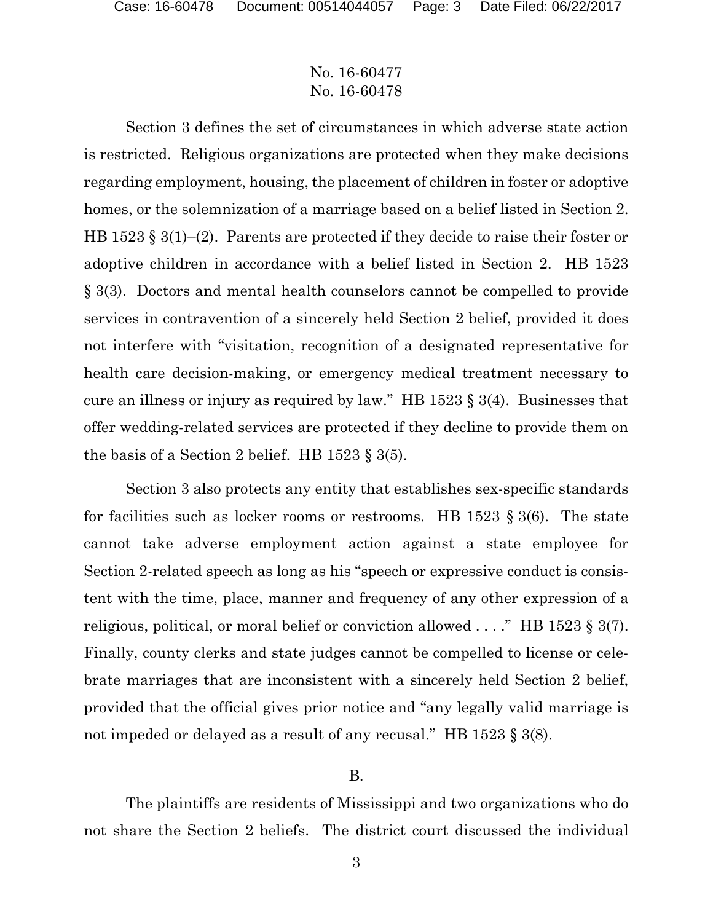Section 3 defines the set of circumstances in which adverse state action is restricted. Religious organizations are protected when they make decisions regarding employment, housing, the placement of children in foster or adoptive homes, or the solemnization of a marriage based on a belief listed in Section 2. HB 1523 § 3(1)–(2). Parents are protected if they decide to raise their foster or adoptive children in accordance with a belief listed in Section 2. HB 1523 § 3(3). Doctors and mental health counselors cannot be compelled to provide services in contravention of a sincerely held Section 2 belief, provided it does not interfere with "visitation, recognition of a designated representative for health care decision-making, or emergency medical treatment necessary to cure an illness or injury as required by law." HB 1523 § 3(4). Businesses that offer wedding-related services are protected if they decline to provide them on the basis of a Section 2 belief. HB  $1523 \text{ } \frac{1}{5} \cdot 3(5)$ .

Section 3 also protects any entity that establishes sex-specific standards for facilities such as locker rooms or restrooms. HB 1523  $\S$  3(6). The state cannot take adverse employment action against a state employee for Section 2-related speech as long as his "speech or expressive conduct is consistent with the time, place, manner and frequency of any other expression of a religious, political, or moral belief or conviction allowed . . . ." HB 1523 § 3(7). Finally, county clerks and state judges cannot be compelled to license or celebrate marriages that are inconsistent with a sincerely held Section 2 belief, provided that the official gives prior notice and "any legally valid marriage is not impeded or delayed as a result of any recusal." HB 1523 § 3(8).

### B.

The plaintiffs are residents of Mississippi and two organizations who do not share the Section 2 beliefs. The district court discussed the individual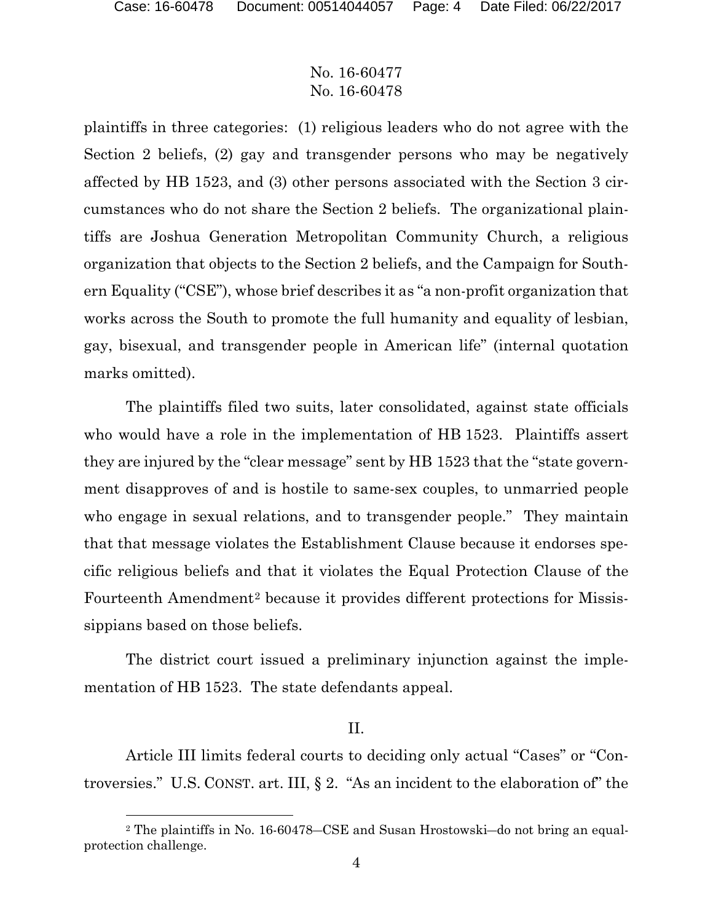## No. 16-60477 No. 16-60478

plaintiffs in three categories: (1) religious leaders who do not agree with the Section 2 beliefs, (2) gay and transgender persons who may be negatively affected by HB 1523, and (3) other persons associated with the Section 3 circumstances who do not share the Section 2 beliefs. The organizational plaintiffs are Joshua Generation Metropolitan Community Church, a religious organization that objects to the Section 2 beliefs, and the Campaign for Southern Equality ("CSE"), whose brief describes it as "a non-profit organization that works across the South to promote the full humanity and equality of lesbian, gay, bisexual, and transgender people in American life" (internal quotation marks omitted).

The plaintiffs filed two suits, later consolidated, against state officials who would have a role in the implementation of HB 1523. Plaintiffs assert they are injured by the "clear message" sent by HB 1523 that the "state government disapproves of and is hostile to same-sex couples, to unmarried people who engage in sexual relations, and to transgender people." They maintain that that message violates the Establishment Clause because it endorses specific religious beliefs and that it violates the Equal Protection Clause of the Fourteenth Amendment<sup>2</sup> because it provides different protections for Mississippians based on those beliefs.

The district court issued a preliminary injunction against the implementation of HB 1523. The state defendants appeal.

### II.

Article III limits federal courts to deciding only actual "Cases" or "Controversies." U.S. CONST. art. III, § 2. "As an incident to the elaboration of" the

<sup>2</sup> The plaintiffs in No. 16-60478―CSE and Susan Hrostowski―do not bring an equalprotection challenge.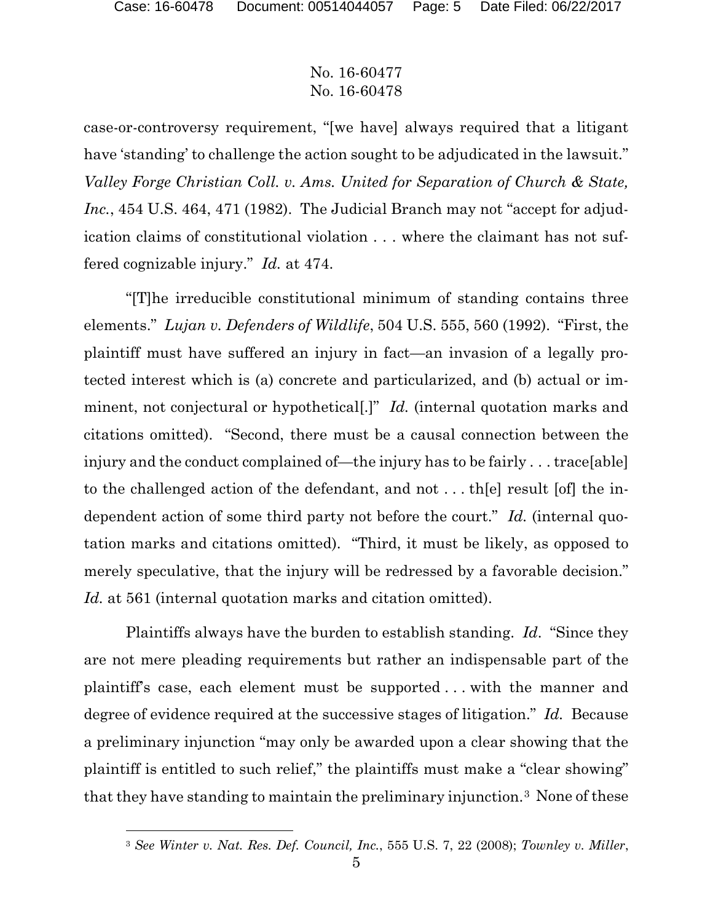l

## No. 16-60477 No. 16-60478

case-or-controversy requirement, "[we have] always required that a litigant have 'standing' to challenge the action sought to be adjudicated in the lawsuit." *Valley Forge Christian Coll. v. Ams. United for Separation of Church & State, Inc.*, 454 U.S. 464, 471 (1982). The Judicial Branch may not "accept for adjudication claims of constitutional violation . . . where the claimant has not suffered cognizable injury." *Id.* at 474.

"[T]he irreducible constitutional minimum of standing contains three elements." *Lujan v. Defenders of Wildlife*, 504 U.S. 555, 560 (1992). "First, the plaintiff must have suffered an injury in fact—an invasion of a legally protected interest which is (a) concrete and particularized, and (b) actual or imminent, not conjectural or hypothetical[.]" *Id.* (internal quotation marks and citations omitted). "Second, there must be a causal connection between the injury and the conduct complained of—the injury has to be fairly . . . trace[able] to the challenged action of the defendant, and not . . . th[e] result [of] the independent action of some third party not before the court." *Id.* (internal quotation marks and citations omitted). "Third, it must be likely, as opposed to merely speculative, that the injury will be redressed by a favorable decision." *Id.* at 561 (internal quotation marks and citation omitted).

Plaintiffs always have the burden to establish standing. *Id*. "Since they are not mere pleading requirements but rather an indispensable part of the plaintiff's case, each element must be supported . . . with the manner and degree of evidence required at the successive stages of litigation." *Id.* Because a preliminary injunction "may only be awarded upon a clear showing that the plaintiff is entitled to such relief," the plaintiffs must make a "clear showing" that they have standing to maintain the preliminary injunction.3 None of these

<sup>3</sup> *See Winter v. Nat. Res. Def. Council, Inc.*, 555 U.S. 7, 22 (2008); *Townley v. Miller*,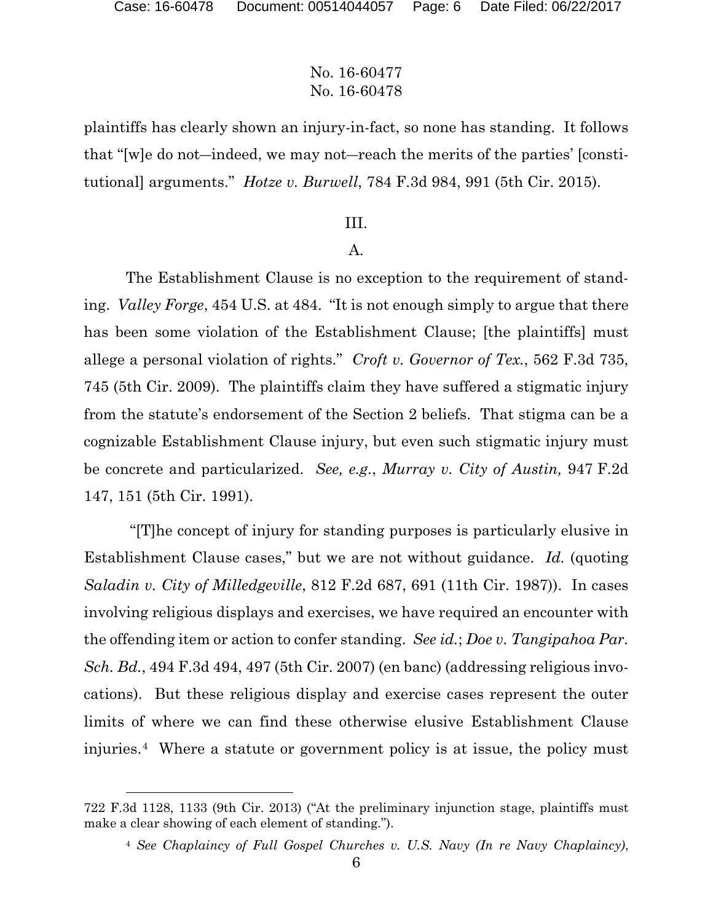## No. 16-60477 No. 16-60478

plaintiffs has clearly shown an injury-in-fact, so none has standing. It follows that "[w]e do not―indeed, we may not―reach the merits of the parties' [constitutional] arguments." *Hotze v. Burwell*, 784 F.3d 984, 991 (5th Cir. 2015).

### III.

### A.

The Establishment Clause is no exception to the requirement of standing. *Valley Forge*, 454 U.S. at 484. "It is not enough simply to argue that there has been some violation of the Establishment Clause; [the plaintiffs] must allege a personal violation of rights." *Croft v. Governor of Tex.*, 562 F.3d 735, 745 (5th Cir. 2009). The plaintiffs claim they have suffered a stigmatic injury from the statute's endorsement of the Section 2 beliefs. That stigma can be a cognizable Establishment Clause injury, but even such stigmatic injury must be concrete and particularized. *See, e.g.*, *Murray v. City of Austin,* 947 F.2d 147, 151 (5th Cir. 1991).

 "[T]he concept of injury for standing purposes is particularly elusive in Establishment Clause cases," but we are not without guidance. *Id.* (quoting *Saladin v. City of Milledgeville*, 812 F.2d 687, 691 (11th Cir. 1987)). In cases involving religious displays and exercises, we have required an encounter with the offending item or action to confer standing. *See id.*; *Doe v. Tangipahoa Par. Sch. Bd.*, 494 F.3d 494, 497 (5th Cir. 2007) (en banc) (addressing religious invocations). But these religious display and exercise cases represent the outer limits of where we can find these otherwise elusive Establishment Clause injuries.4 Where a statute or government policy is at issue, the policy must

<sup>722</sup> F.3d 1128, 1133 (9th Cir. 2013) ("At the preliminary injunction stage, plaintiffs must make a clear showing of each element of standing.").

<sup>4</sup> *See Chaplaincy of Full Gospel Churches v. U.S. Navy (In re Navy Chaplaincy)*,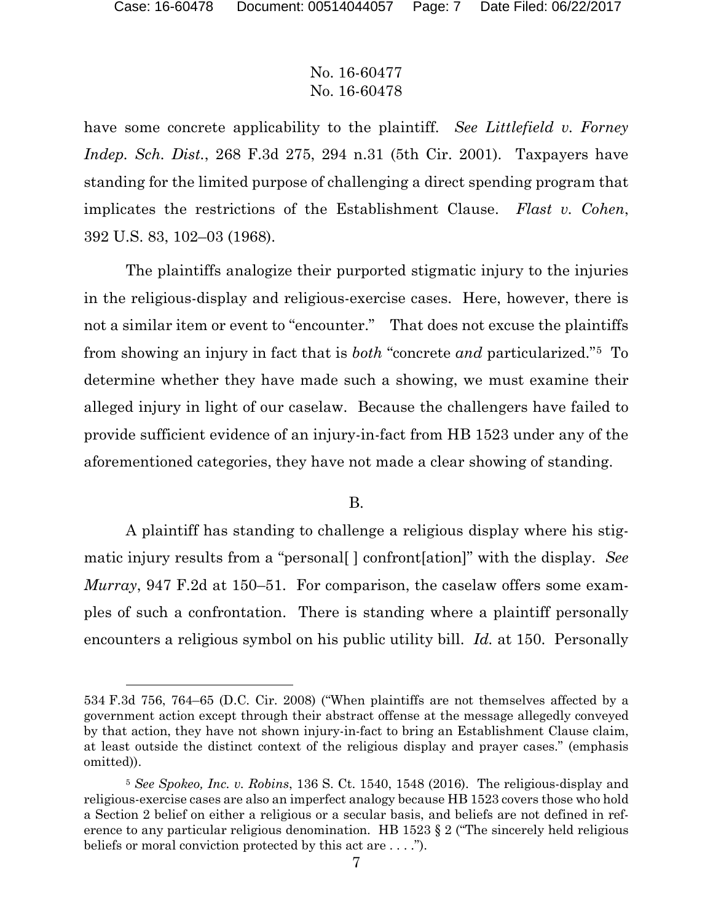## No. 16-60477 No. 16-60478

have some concrete applicability to the plaintiff. *See Littlefield v. Forney Indep. Sch. Dist.*, 268 F.3d 275, 294 n.31 (5th Cir. 2001). Taxpayers have standing for the limited purpose of challenging a direct spending program that implicates the restrictions of the Establishment Clause. *Flast v. Cohen*, 392 U.S. 83, 102–03 (1968).

The plaintiffs analogize their purported stigmatic injury to the injuries in the religious-display and religious-exercise cases. Here, however, there is not a similar item or event to "encounter." That does not excuse the plaintiffs from showing an injury in fact that is *both* "concrete *and* particularized."5 To determine whether they have made such a showing, we must examine their alleged injury in light of our caselaw. Because the challengers have failed to provide sufficient evidence of an injury-in-fact from HB 1523 under any of the aforementioned categories, they have not made a clear showing of standing.

### B.

A plaintiff has standing to challenge a religious display where his stigmatic injury results from a "personal[ ] confront[ation]" with the display. *See Murray*, 947 F.2d at 150–51. For comparison, the caselaw offers some examples of such a confrontation. There is standing where a plaintiff personally encounters a religious symbol on his public utility bill. *Id.* at 150. Personally

<sup>534</sup> F.3d 756, 764–65 (D.C. Cir. 2008) ("When plaintiffs are not themselves affected by a government action except through their abstract offense at the message allegedly conveyed by that action, they have not shown injury-in-fact to bring an Establishment Clause claim, at least outside the distinct context of the religious display and prayer cases." (emphasis omitted)).

<sup>5</sup> *See Spokeo, Inc. v. Robins*, 136 S. Ct. 1540, 1548 (2016). The religious-display and religious-exercise cases are also an imperfect analogy because HB 1523 covers those who hold a Section 2 belief on either a religious or a secular basis, and beliefs are not defined in reference to any particular religious denomination. HB 1523 § 2 ("The sincerely held religious beliefs or moral conviction protected by this act are . . . .").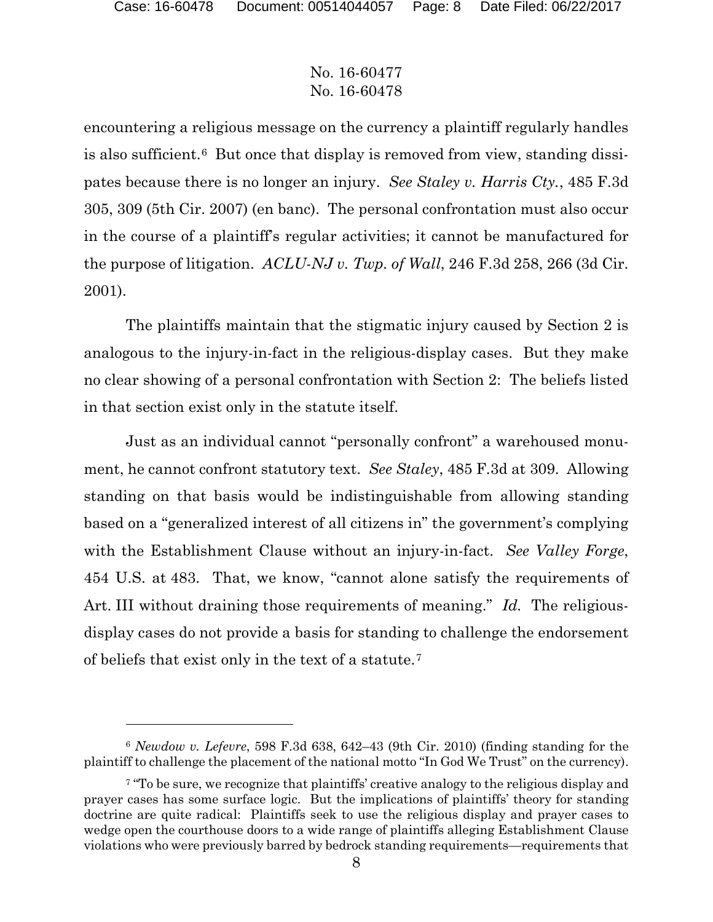## No. 16-60477 No. 16-60478

encountering a religious message on the currency a plaintiff regularly handles is also sufficient.6 But once that display is removed from view, standing dissipates because there is no longer an injury. *See Staley v. Harris Cty.*, 485 F.3d 305, 309 (5th Cir. 2007) (en banc). The personal confrontation must also occur in the course of a plaintiff's regular activities; it cannot be manufactured for the purpose of litigation. *ACLU-NJ v. Twp. of Wall*, 246 F.3d 258, 266 (3d Cir. 2001).

The plaintiffs maintain that the stigmatic injury caused by Section 2 is analogous to the injury-in-fact in the religious-display cases. But they make no clear showing of a personal confrontation with Section 2: The beliefs listed in that section exist only in the statute itself.

Just as an individual cannot "personally confront" a warehoused monument, he cannot confront statutory text. *See Staley*, 485 F.3d at 309. Allowing standing on that basis would be indistinguishable from allowing standing based on a "generalized interest of all citizens in" the government's complying with the Establishment Clause without an injury-in-fact. *See Valley Forge*, 454 U.S. at 483. That, we know, "cannot alone satisfy the requirements of Art. III without draining those requirements of meaning." *Id.* The religiousdisplay cases do not provide a basis for standing to challenge the endorsement of beliefs that exist only in the text of a statute.7

<sup>6</sup> *Newdow v. Lefevre*, 598 F.3d 638, 642–43 (9th Cir. 2010) (finding standing for the plaintiff to challenge the placement of the national motto "In God We Trust" on the currency).

<sup>&</sup>lt;sup>7</sup> "To be sure, we recognize that plaintiffs' creative analogy to the religious display and prayer cases has some surface logic. But the implications of plaintiffs' theory for standing doctrine are quite radical: Plaintiffs seek to use the religious display and prayer cases to wedge open the courthouse doors to a wide range of plaintiffs alleging Establishment Clause violations who were previously barred by bedrock standing requirements—requirements that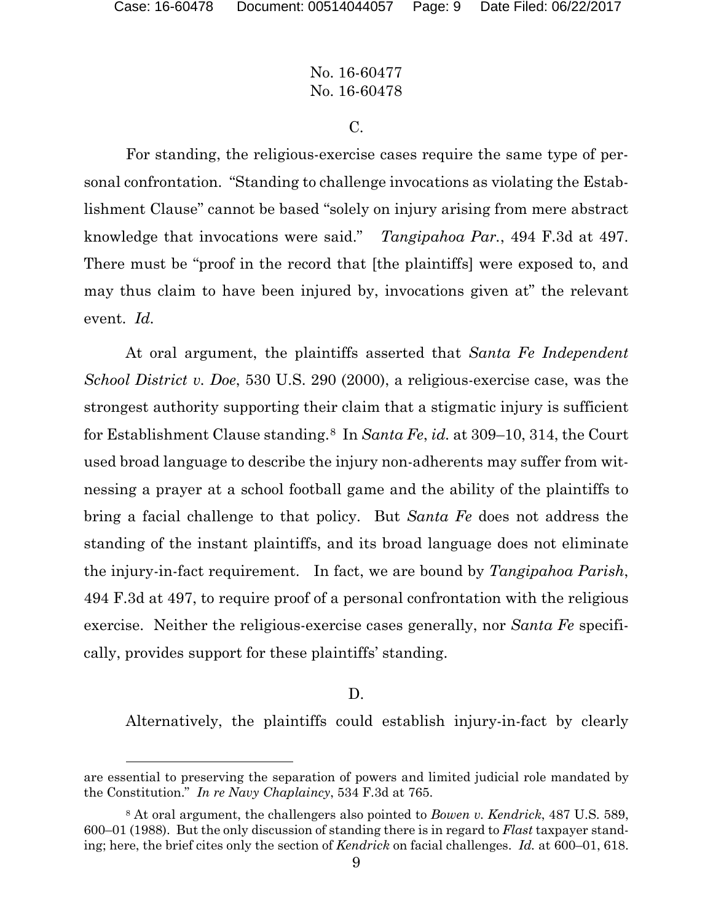## No. 16-60477 No. 16-60478

C.

For standing, the religious-exercise cases require the same type of personal confrontation. "Standing to challenge invocations as violating the Establishment Clause" cannot be based "solely on injury arising from mere abstract knowledge that invocations were said." *Tangipahoa Par.*, 494 F.3d at 497. There must be "proof in the record that [the plaintiffs] were exposed to, and may thus claim to have been injured by, invocations given at" the relevant event. *Id.*

At oral argument, the plaintiffs asserted that *Santa Fe Independent School District v. Doe*, 530 U.S. 290 (2000), a religious-exercise case, was the strongest authority supporting their claim that a stigmatic injury is sufficient for Establishment Clause standing.8 In *Santa Fe*, *id.* at 309–10, 314, the Court used broad language to describe the injury non-adherents may suffer from witnessing a prayer at a school football game and the ability of the plaintiffs to bring a facial challenge to that policy. But *Santa Fe* does not address the standing of the instant plaintiffs, and its broad language does not eliminate the injury-in-fact requirement. In fact, we are bound by *Tangipahoa Parish*, 494 F.3d at 497, to require proof of a personal confrontation with the religious exercise. Neither the religious-exercise cases generally, nor *Santa Fe* specifically, provides support for these plaintiffs' standing.

#### D.

Alternatively, the plaintiffs could establish injury-in-fact by clearly

are essential to preserving the separation of powers and limited judicial role mandated by the Constitution." *In re Navy Chaplaincy*, 534 F.3d at 765.

<sup>8</sup> At oral argument, the challengers also pointed to *Bowen v. Kendrick*, 487 U.S. 589, 600–01 (1988). But the only discussion of standing there is in regard to *Flast* taxpayer standing; here, the brief cites only the section of *Kendrick* on facial challenges. *Id.* at 600–01, 618.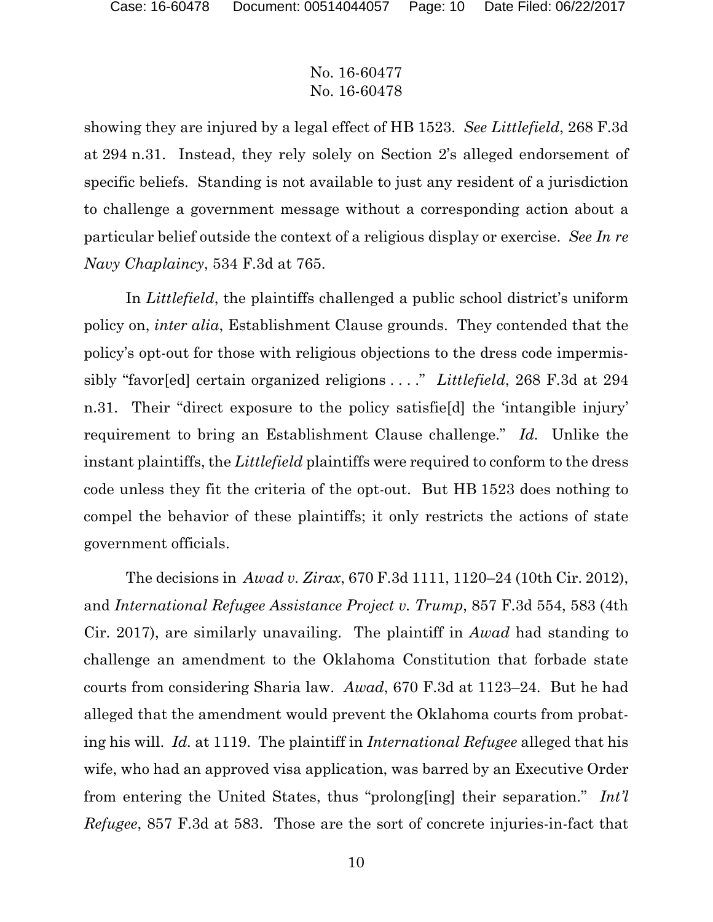showing they are injured by a legal effect of HB 1523. *See Littlefield*, 268 F.3d at 294 n.31. Instead, they rely solely on Section 2's alleged endorsement of specific beliefs. Standing is not available to just any resident of a jurisdiction to challenge a government message without a corresponding action about a particular belief outside the context of a religious display or exercise. *See In re Navy Chaplaincy*, 534 F.3d at 765.

In *Littlefield*, the plaintiffs challenged a public school district's uniform policy on, *inter alia*, Establishment Clause grounds. They contended that the policy's opt-out for those with religious objections to the dress code impermissibly "favor[ed] certain organized religions . . . ." *Littlefield*, 268 F.3d at 294 n.31. Their "direct exposure to the policy satisfie[d] the 'intangible injury' requirement to bring an Establishment Clause challenge." *Id.* Unlike the instant plaintiffs, the *Littlefield* plaintiffs were required to conform to the dress code unless they fit the criteria of the opt-out. But HB 1523 does nothing to compel the behavior of these plaintiffs; it only restricts the actions of state government officials.

The decisions in *Awad v. Zirax*, 670 F.3d 1111, 1120–24 (10th Cir. 2012), and *International Refugee Assistance Project v. Trump*, 857 F.3d 554, 583 (4th Cir. 2017), are similarly unavailing. The plaintiff in *Awad* had standing to challenge an amendment to the Oklahoma Constitution that forbade state courts from considering Sharia law. *Awad*, 670 F.3d at 1123–24. But he had alleged that the amendment would prevent the Oklahoma courts from probating his will. *Id.* at 1119. The plaintiff in *International Refugee* alleged that his wife, who had an approved visa application, was barred by an Executive Order from entering the United States, thus "prolong[ing] their separation." *Int'l Refugee*, 857 F.3d at 583. Those are the sort of concrete injuries-in-fact that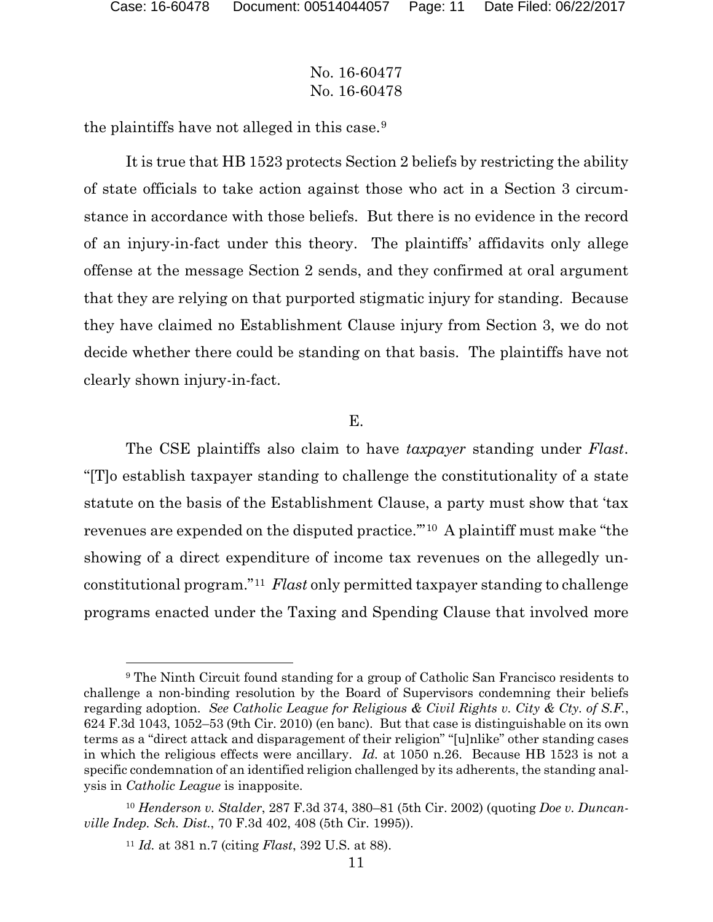## No. 16-60477 No. 16-60478

the plaintiffs have not alleged in this case.9

It is true that HB 1523 protects Section 2 beliefs by restricting the ability of state officials to take action against those who act in a Section 3 circumstance in accordance with those beliefs. But there is no evidence in the record of an injury-in-fact under this theory. The plaintiffs' affidavits only allege offense at the message Section 2 sends, and they confirmed at oral argument that they are relying on that purported stigmatic injury for standing. Because they have claimed no Establishment Clause injury from Section 3, we do not decide whether there could be standing on that basis. The plaintiffs have not clearly shown injury-in-fact.

### E.

The CSE plaintiffs also claim to have *taxpayer* standing under *Flast*. "[T]o establish taxpayer standing to challenge the constitutionality of a state statute on the basis of the Establishment Clause, a party must show that 'tax revenues are expended on the disputed practice.'"10 A plaintiff must make "the showing of a direct expenditure of income tax revenues on the allegedly unconstitutional program."11 *Flast* only permitted taxpayer standing to challenge programs enacted under the Taxing and Spending Clause that involved more

<sup>9</sup> The Ninth Circuit found standing for a group of Catholic San Francisco residents to challenge a non-binding resolution by the Board of Supervisors condemning their beliefs regarding adoption. *See Catholic League for Religious & Civil Rights v. City & Cty. of S.F.*, 624 F.3d 1043, 1052–53 (9th Cir. 2010) (en banc). But that case is distinguishable on its own terms as a "direct attack and disparagement of their religion" "[u]nlike" other standing cases in which the religious effects were ancillary. *Id.* at 1050 n.26. Because HB 1523 is not a specific condemnation of an identified religion challenged by its adherents, the standing analysis in *Catholic League* is inapposite.

<sup>10</sup> *Henderson v. Stalder*, 287 F.3d 374, 380–81 (5th Cir. 2002) (quoting *Doe v. Duncanville Indep. Sch. Dist.*, 70 F.3d 402, 408 (5th Cir. 1995)).

<sup>11</sup> *Id.* at 381 n.7 (citing *Flast*, 392 U.S. at 88).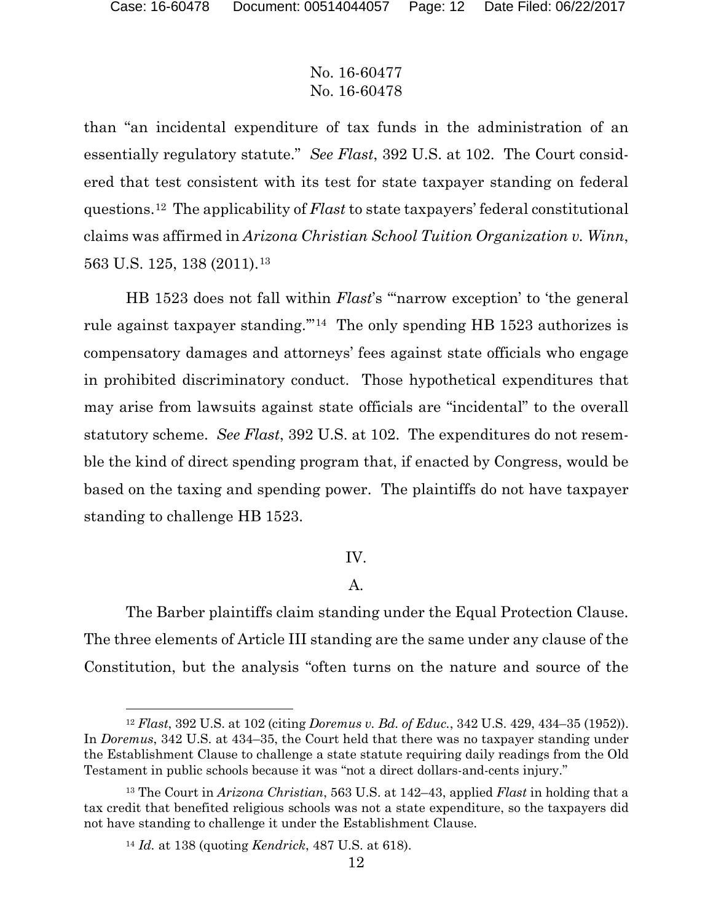than "an incidental expenditure of tax funds in the administration of an essentially regulatory statute." *See Flast*, 392 U.S. at 102. The Court considered that test consistent with its test for state taxpayer standing on federal questions.12 The applicability of *Flast* to state taxpayers' federal constitutional claims was affirmed in *Arizona Christian School Tuition Organization v. Winn*, 563 U.S. 125, 138 (2011).13

HB 1523 does not fall within *Flast*'s "'narrow exception' to 'the general rule against taxpayer standing.'"14 The only spending HB 1523 authorizes is compensatory damages and attorneys' fees against state officials who engage in prohibited discriminatory conduct. Those hypothetical expenditures that may arise from lawsuits against state officials are "incidental" to the overall statutory scheme. *See Flast*, 392 U.S. at 102. The expenditures do not resemble the kind of direct spending program that, if enacted by Congress, would be based on the taxing and spending power. The plaintiffs do not have taxpayer standing to challenge HB 1523.

### IV.

## A.

The Barber plaintiffs claim standing under the Equal Protection Clause. The three elements of Article III standing are the same under any clause of the Constitution, but the analysis "often turns on the nature and source of the

 $\overline{a}$ 

<sup>12</sup> *Flast*, 392 U.S. at 102 (citing *Doremus v. Bd. of Educ.*, 342 U.S. 429, 434–35 (1952)). In *Doremus*, 342 U.S. at 434–35, the Court held that there was no taxpayer standing under the Establishment Clause to challenge a state statute requiring daily readings from the Old Testament in public schools because it was "not a direct dollars-and-cents injury."

<sup>13</sup> The Court in *Arizona Christian*, 563 U.S. at 142–43, applied *Flast* in holding that a tax credit that benefited religious schools was not a state expenditure, so the taxpayers did not have standing to challenge it under the Establishment Clause.

<sup>14</sup> *Id.* at 138 (quoting *Kendrick*, 487 U.S. at 618).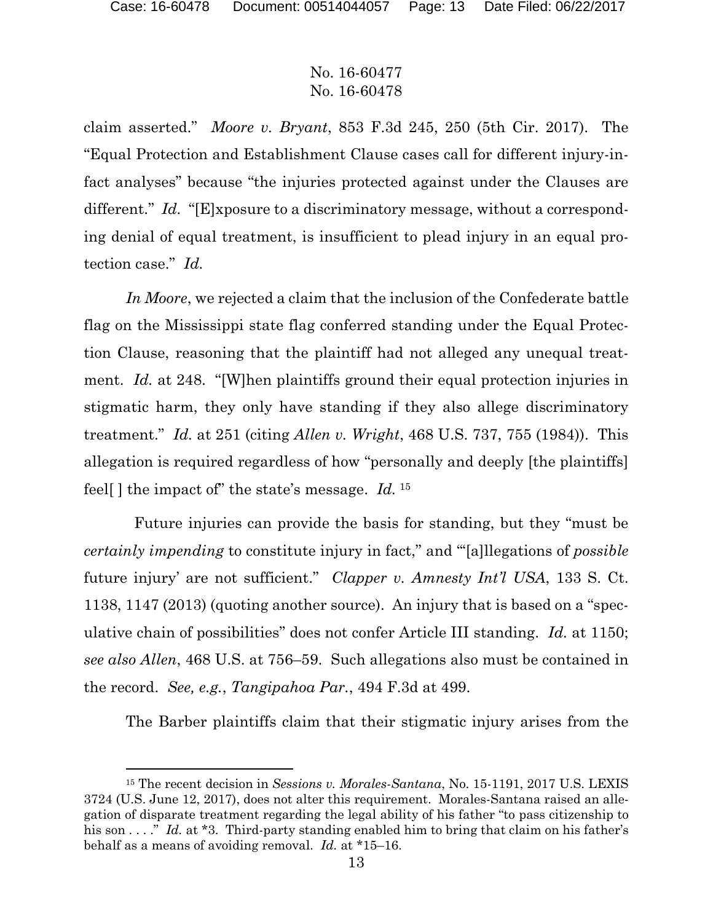## No. 16-60477 No. 16-60478

claim asserted." *Moore v. Bryant*, 853 F.3d 245, 250 (5th Cir. 2017). The "Equal Protection and Establishment Clause cases call for different injury-infact analyses" because "the injuries protected against under the Clauses are different." *Id.* "[E]xposure to a discriminatory message, without a corresponding denial of equal treatment, is insufficient to plead injury in an equal protection case." *Id.*

*In Moore*, we rejected a claim that the inclusion of the Confederate battle flag on the Mississippi state flag conferred standing under the Equal Protection Clause, reasoning that the plaintiff had not alleged any unequal treatment. *Id.* at 248. "[W]hen plaintiffs ground their equal protection injuries in stigmatic harm, they only have standing if they also allege discriminatory treatment." *Id.* at 251 (citing *Allen v. Wright*, 468 U.S. 737, 755 (1984)). This allegation is required regardless of how "personally and deeply [the plaintiffs] feel[ ] the impact of" the state's message. *Id.* 15

 Future injuries can provide the basis for standing, but they "must be *certainly impending* to constitute injury in fact," and "'[a]llegations of *possible* future injury' are not sufficient." *Clapper v. Amnesty Int'l USA*, 133 S. Ct. 1138, 1147 (2013) (quoting another source). An injury that is based on a "speculative chain of possibilities" does not confer Article III standing. *Id.* at 1150; *see also Allen*, 468 U.S. at 756–59. Such allegations also must be contained in the record. *See, e.g.*, *Tangipahoa Par.*, 494 F.3d at 499.

The Barber plaintiffs claim that their stigmatic injury arises from the

<sup>15</sup> The recent decision in *Sessions v. Morales-Santana*, No. 15-1191, 2017 U.S. LEXIS 3724 (U.S. June 12, 2017), does not alter this requirement. Morales-Santana raised an allegation of disparate treatment regarding the legal ability of his father "to pass citizenship to his son . . . ." *Id.* at \*3. Third-party standing enabled him to bring that claim on his father's behalf as a means of avoiding removal. *Id.* at \*15–16.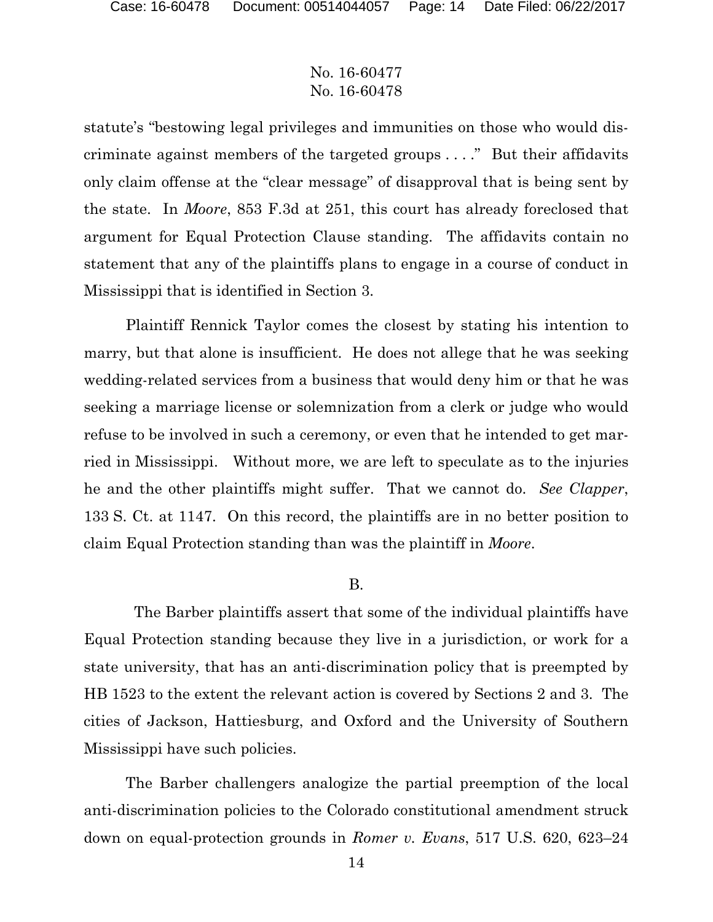statute's "bestowing legal privileges and immunities on those who would discriminate against members of the targeted groups . . . ." But their affidavits only claim offense at the "clear message" of disapproval that is being sent by the state. In *Moore*, 853 F.3d at 251, this court has already foreclosed that argument for Equal Protection Clause standing. The affidavits contain no statement that any of the plaintiffs plans to engage in a course of conduct in Mississippi that is identified in Section 3.

Plaintiff Rennick Taylor comes the closest by stating his intention to marry, but that alone is insufficient. He does not allege that he was seeking wedding-related services from a business that would deny him or that he was seeking a marriage license or solemnization from a clerk or judge who would refuse to be involved in such a ceremony, or even that he intended to get married in Mississippi. Without more, we are left to speculate as to the injuries he and the other plaintiffs might suffer. That we cannot do. *See Clapper*, 133 S. Ct. at 1147. On this record, the plaintiffs are in no better position to claim Equal Protection standing than was the plaintiff in *Moore*.

### B.

 The Barber plaintiffs assert that some of the individual plaintiffs have Equal Protection standing because they live in a jurisdiction, or work for a state university, that has an anti-discrimination policy that is preempted by HB 1523 to the extent the relevant action is covered by Sections 2 and 3. The cities of Jackson, Hattiesburg, and Oxford and the University of Southern Mississippi have such policies.

The Barber challengers analogize the partial preemption of the local anti-discrimination policies to the Colorado constitutional amendment struck down on equal-protection grounds in *Romer v. Evans*, 517 U.S. 620, 623–24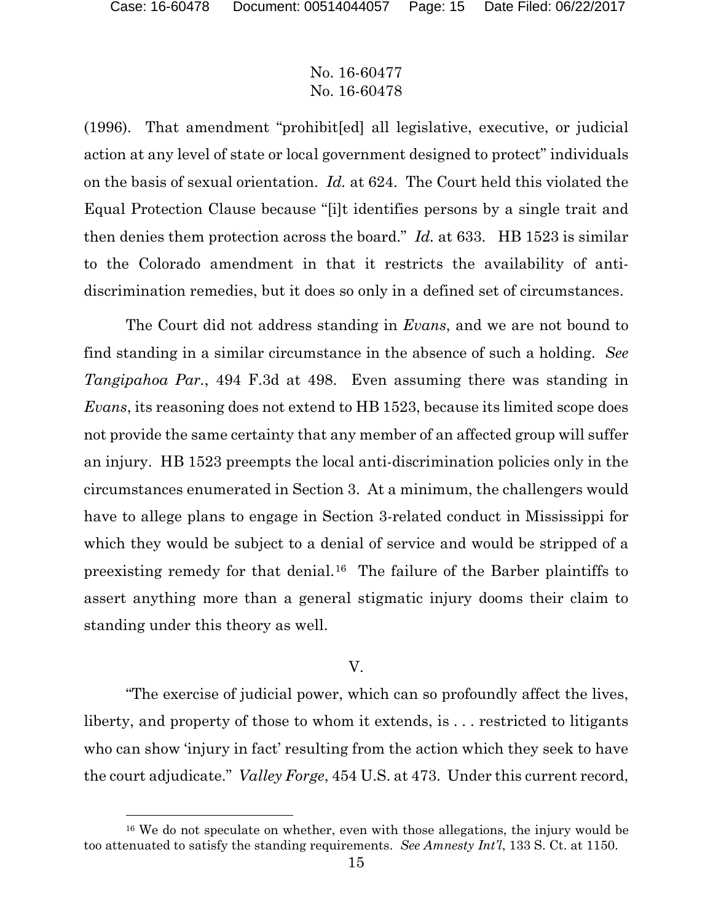## No. 16-60477 No. 16-60478

(1996). That amendment "prohibit[ed] all legislative, executive, or judicial action at any level of state or local government designed to protect" individuals on the basis of sexual orientation. *Id.* at 624. The Court held this violated the Equal Protection Clause because "[i]t identifies persons by a single trait and then denies them protection across the board." *Id.* at 633. HB 1523 is similar to the Colorado amendment in that it restricts the availability of antidiscrimination remedies, but it does so only in a defined set of circumstances.

The Court did not address standing in *Evans*, and we are not bound to find standing in a similar circumstance in the absence of such a holding. *See Tangipahoa Par.*, 494 F.3d at 498. Even assuming there was standing in *Evans*, its reasoning does not extend to HB 1523, because its limited scope does not provide the same certainty that any member of an affected group will suffer an injury. HB 1523 preempts the local anti-discrimination policies only in the circumstances enumerated in Section 3. At a minimum, the challengers would have to allege plans to engage in Section 3-related conduct in Mississippi for which they would be subject to a denial of service and would be stripped of a preexisting remedy for that denial.16 The failure of the Barber plaintiffs to assert anything more than a general stigmatic injury dooms their claim to standing under this theory as well.

### V.

"The exercise of judicial power, which can so profoundly affect the lives, liberty, and property of those to whom it extends, is . . . restricted to litigants who can show 'injury in fact' resulting from the action which they seek to have the court adjudicate." *Valley Forge*, 454 U.S. at 473. Under this current record,

<sup>16</sup> We do not speculate on whether, even with those allegations, the injury would be too attenuated to satisfy the standing requirements. *See Amnesty Int'l*, 133 S. Ct. at 1150.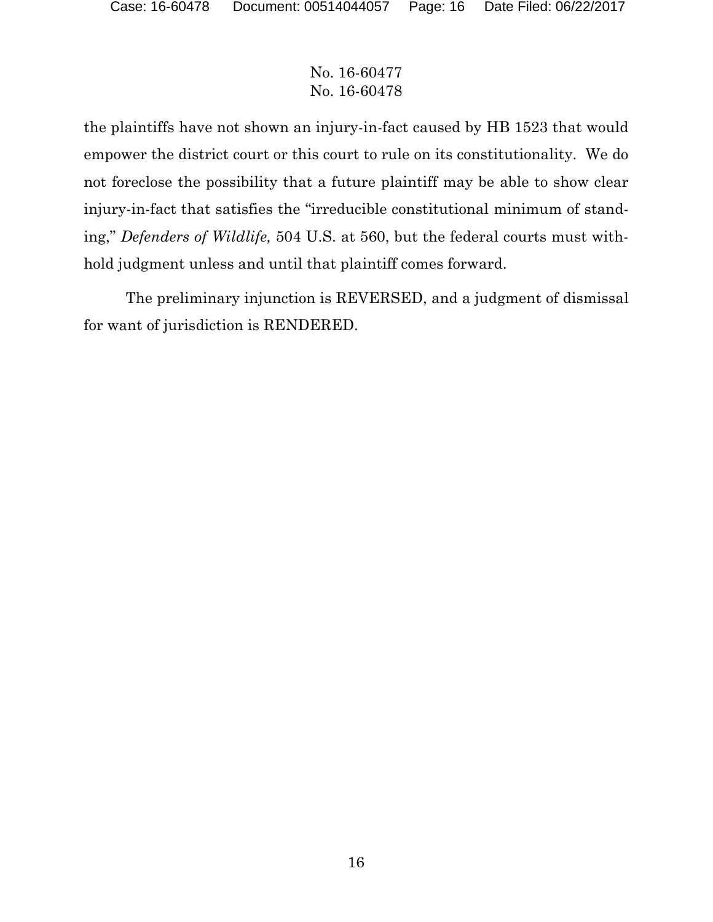the plaintiffs have not shown an injury-in-fact caused by HB 1523 that would empower the district court or this court to rule on its constitutionality. We do not foreclose the possibility that a future plaintiff may be able to show clear injury-in-fact that satisfies the "irreducible constitutional minimum of standing," *Defenders of Wildlife,* 504 U.S. at 560, but the federal courts must withhold judgment unless and until that plaintiff comes forward.

The preliminary injunction is REVERSED, and a judgment of dismissal for want of jurisdiction is RENDERED.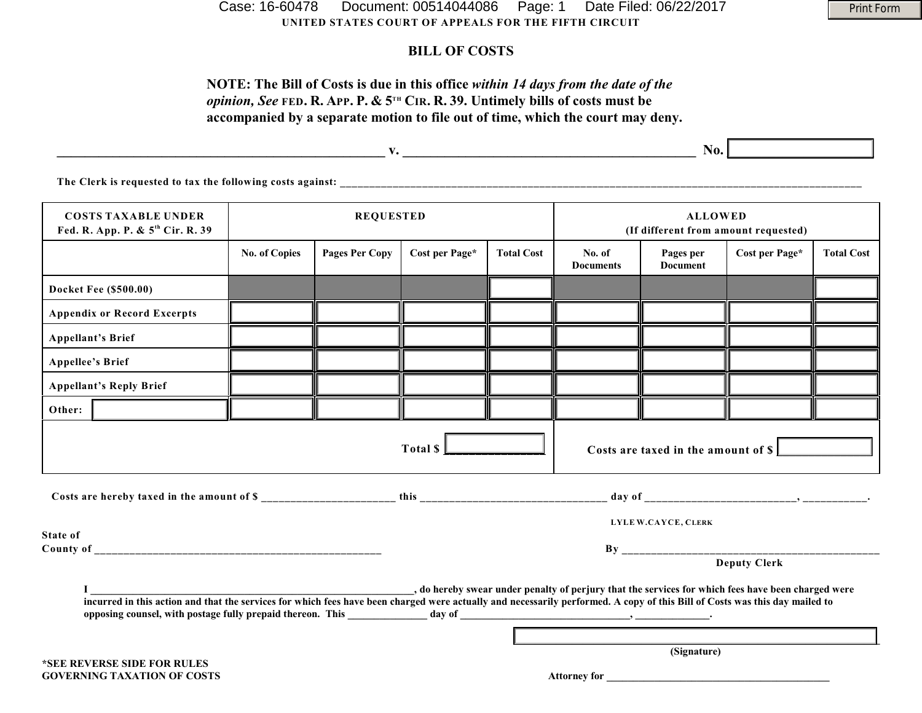**UNITED STATES COURT OF APPEALS FOR THE FIFTH CIRCUIT** Case: 16-60478 Document: 00514044086 Page: 1 Date Filed: 06/22/2017

### **BILL OF COSTS**

#### **NOTE: The Bill of Costs is due in this office** *within 14 days from the date of the opinion, See* FED. R. APP. P. &  $5^{th}$  CIR. R. 39. Untimely bills of costs must be **accompanied by a separate motion to file out of time, which the court may deny.**

|                                                                            |                      |                       |                |                   | No.                                                    |                        |                |                   |
|----------------------------------------------------------------------------|----------------------|-----------------------|----------------|-------------------|--------------------------------------------------------|------------------------|----------------|-------------------|
| The Clerk is requested to tax the following costs against:                 |                      |                       |                |                   |                                                        |                        |                |                   |
| <b>COSTS TAXABLE UNDER</b><br>Fed. R. App. P. & 5 <sup>th</sup> Cir. R. 39 | <b>REQUESTED</b>     |                       |                |                   | <b>ALLOWED</b><br>(If different from amount requested) |                        |                |                   |
|                                                                            | <b>No. of Copies</b> | <b>Pages Per Copy</b> | Cost per Page* | <b>Total Cost</b> | No. of<br><b>Dooumonts</b>                             | Pages per<br>Dogumont. | Cost per Page* | <b>Total Cost</b> |

|                                    |                                                                                                                                                                                                                                                                                                                   |  |  |              |  | <b>Documents</b> | <b>Document</b>                     |                     |  |  |
|------------------------------------|-------------------------------------------------------------------------------------------------------------------------------------------------------------------------------------------------------------------------------------------------------------------------------------------------------------------|--|--|--------------|--|------------------|-------------------------------------|---------------------|--|--|
|                                    | <b>Docket Fee (\$500.00)</b>                                                                                                                                                                                                                                                                                      |  |  |              |  |                  |                                     |                     |  |  |
|                                    | <b>Appendix or Record Excerpts</b>                                                                                                                                                                                                                                                                                |  |  |              |  |                  |                                     |                     |  |  |
|                                    | <b>Appellant's Brief</b>                                                                                                                                                                                                                                                                                          |  |  |              |  |                  |                                     |                     |  |  |
| <b>Appellee's Brief</b>            |                                                                                                                                                                                                                                                                                                                   |  |  |              |  |                  |                                     |                     |  |  |
|                                    | <b>Appellant's Reply Brief</b>                                                                                                                                                                                                                                                                                    |  |  |              |  |                  |                                     |                     |  |  |
| Other:                             |                                                                                                                                                                                                                                                                                                                   |  |  |              |  |                  |                                     |                     |  |  |
|                                    |                                                                                                                                                                                                                                                                                                                   |  |  | Total \$     |  |                  | Costs are taxed in the amount of \$ |                     |  |  |
|                                    |                                                                                                                                                                                                                                                                                                                   |  |  |              |  |                  |                                     |                     |  |  |
|                                    |                                                                                                                                                                                                                                                                                                                   |  |  |              |  |                  | LYLE W.CAYCE, CLERK                 |                     |  |  |
| State of                           |                                                                                                                                                                                                                                                                                                                   |  |  |              |  |                  |                                     |                     |  |  |
|                                    |                                                                                                                                                                                                                                                                                                                   |  |  |              |  |                  |                                     | <b>Deputy Clerk</b> |  |  |
|                                    | o hereby swear under penalty of perjury that the services for which fees have been charged were, which fees have been charged were<br>incurred in this action and that the services for which fees have been charged were actually and necessarily performed. A copy of this Bill of Costs was this day mailed to |  |  |              |  |                  |                                     |                     |  |  |
|                                    |                                                                                                                                                                                                                                                                                                                   |  |  |              |  |                  |                                     |                     |  |  |
| *SEE REVERSE SIDE FOR RULES        |                                                                                                                                                                                                                                                                                                                   |  |  | (Signature)  |  |                  |                                     |                     |  |  |
| <b>GOVERNING TAXATION OF COSTS</b> |                                                                                                                                                                                                                                                                                                                   |  |  | Attorney for |  |                  |                                     |                     |  |  |

Print Form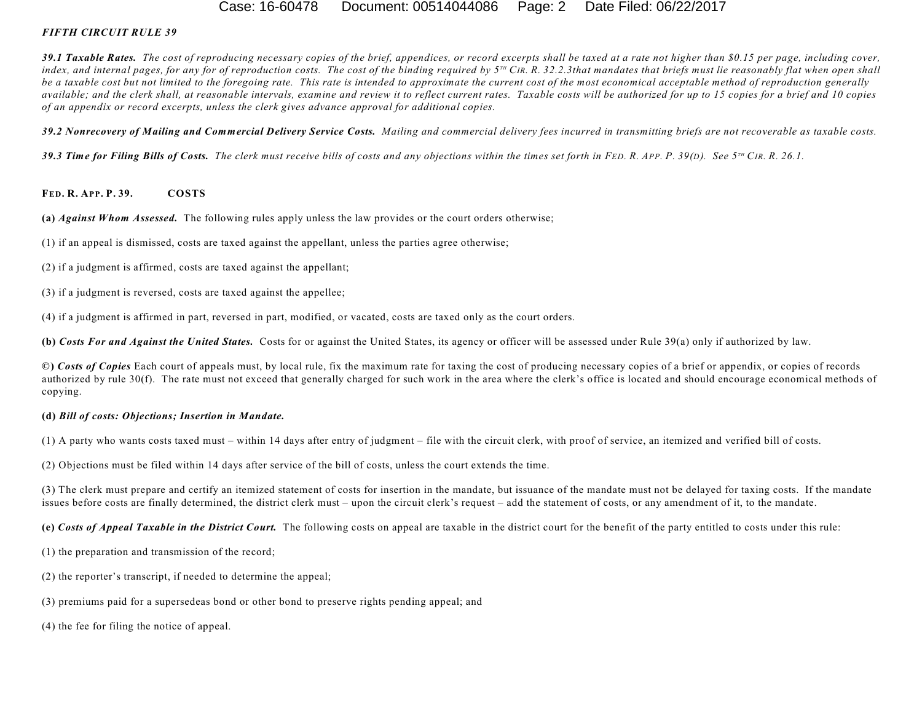#### Case: 16-60478 Document: 00514044086 Page: 2 Date Filed: 06/22/2017

#### *FIFTH CIRCUIT RULE 39*

*39.1 Taxable Rates. The cost of reproducing necessary copies of the brief, appendices, or record excerpts shall be taxed at a rate not higher than \$0.15 per page, including cover,* index, and internal pages, for any for of reproduction costs. The cost of the binding required by  $5^{10}$  CIR, R, 32.2.3that mandates that briefs must lie reasonably flat when open shall *be a taxable cost but not limited to the foregoing rate. This rate is intended to approximate the current cost of the most economical acceptable method of reproduction generally available; and the clerk shall, at reasonable intervals, examine and review it to reflect current rates. Taxable costs will be authorized for up to 15 copies for a brief and 10 copies of an appendix or record excerpts, unless the clerk gives advance approval for additional copies.*

*39.2 Nonrecovery of Mailing and Commercial Delivery Service Costs. Mailing and commercial delivery fees incurred in transmitting briefs are not recoverable as taxable costs.*

39.3 Time for Filing Bills of Costs. The clerk must receive bills of costs and any objections within the times set forth in FED. R. APP. P. 39(D). See 5<sup>TH</sup> CIR. R. 26.1.

#### **FED. R. APP. P. 39. COSTS**

**(a)** *Against Whom Assessed.* The following rules apply unless the law provides or the court orders otherwise;

- (1) if an appeal is dismissed, costs are taxed against the appellant, unless the parties agree otherwise;
- (2) if a judgment is affirmed, costs are taxed against the appellant;
- (3) if a judgment is reversed, costs are taxed against the appellee;
- (4) if a judgment is affirmed in part, reversed in part, modified, or vacated, costs are taxed only as the court orders.

**(b)** *Costs For and Against the United States.* Costs for or against the United States, its agency or officer will be assessed under Rule 39(a) only if authorized by law.

**©)** *Costs of Copies* Each court of appeals must, by local rule, fix the maximum rate for taxing the cost of producing necessary copies of a brief or appendix, or copies of records authorized by rule 30(f). The rate must not exceed that generally charged for such work in the area where the clerk's office is located and should encourage economical methods of copying.

#### **(d)** *Bill of costs: Objections; Insertion in Mandate.*

(1) A party who wants costs taxed must – within 14 days after entry of judgment – file with the circuit clerk, with proof of service, an itemized and verified bill of costs.

(2) Objections must be filed within 14 days after service of the bill of costs, unless the court extends the time.

(3) The clerk must prepare and certify an itemized statement of costs for insertion in the mandate, but issuance of the mandate must not be delayed for taxing costs. If the mandate issues before costs are finally determined, the district clerk must – upon the circuit clerk's request – add the statement of costs, or any amendment of it, to the mandate.

**(e)** *Costs of Appeal Taxable in the District Court.* The following costs on appeal are taxable in the district court for the benefit of the party entitled to costs under this rule:

(1) the preparation and transmission of the record;

- (2) the reporter's transcript, if needed to determine the appeal;
- (3) premiums paid for a supersedeas bond or other bond to preserve rights pending appeal; and

(4) the fee for filing the notice of appeal.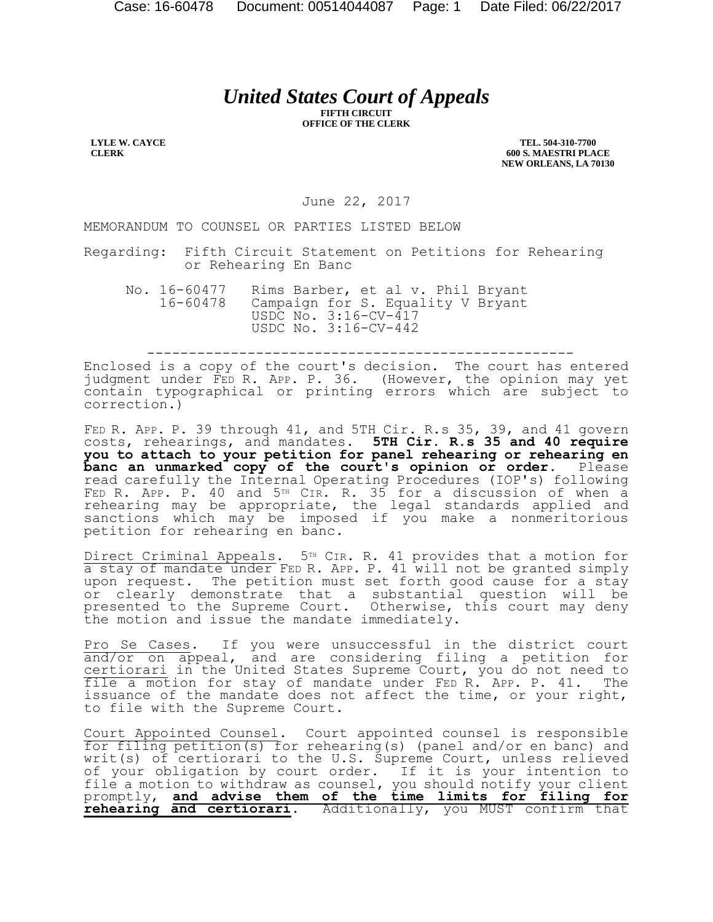# *United States Court of Appeals*

**FIFTH CIRCUIT OFFICE OF THE CLERK**

**LYLE W. CAYCE CLERK**

**TEL. 504-310-7700 600 S. MAESTRI PLACE NEW ORLEANS, LA 70130**

June 22, 2017

MEMORANDUM TO COUNSEL OR PARTIES LISTED BELOW

Regarding: Fifth Circuit Statement on Petitions for Rehearing or Rehearing En Banc

No. 16-60477 Rims Barber, et al v. Phil Bryant 16-60478 Campaign for S. Equality V Bryant USDC No. 3:16-CV-417 USDC No. 3:16-CV-442

---------------------------------------------------

Enclosed is a copy of the court's decision. The court has entered judgment under FED R. APP. P. 36. (However, the opinion may yet contain typographical or printing errors which are subject to correction.)

FED R. APP. P. 39 through 41, and 5TH Cir. R.s 35, 39, and 41 govern costs, rehearings, and mandates. **5TH Cir. R.s 35 and 40 require you to attach to your petition for panel rehearing or rehearing en banc an unmarked copy of the court's opinion or order.** Please read carefully the Internal Operating Procedures (IOP's) following FED R. APP. P. 40 and 5TH CIR. R. 35 for a discussion of when a rehearing may be appropriate, the legal standards applied and sanctions which may be imposed if you make a nonmeritorious petition for rehearing en banc.

Direct Criminal Appeals. 5<sup>TH</sup> CIR. R. 41 provides that a motion for a stay of mandate under FED R. APP. P. 41 will not be granted simply upon request. The petition must set forth good cause for a stay or clearly demonstrate that a substantial question will be presented to the Supreme Court. Otherwise, this court may deny the motion and issue the mandate immediately.

Pro Se Cases. If you were unsuccessful in the district court and/or on appeal, and are considering filing a petition for certiorari in the United States Supreme Court, you do not need to file a motion for stay of mandate under FED R. APP. P. 41. The issuance of the mandate does not affect the time, or your right, to file with the Supreme Court.

Court Appointed Counsel. Court appointed counsel is responsible for filing petition(s) for rehearing(s) (panel and/or en banc) and writ(s) of certiorari to the U.S. Supreme Court, unless relieved of your obligation by court order. If it is your intention to file a motion to withdraw as counsel, you should notify your client promptly, **and advise them of the time limits for filing for rehearing and certiorari**. Additionally, you MUST confirm that